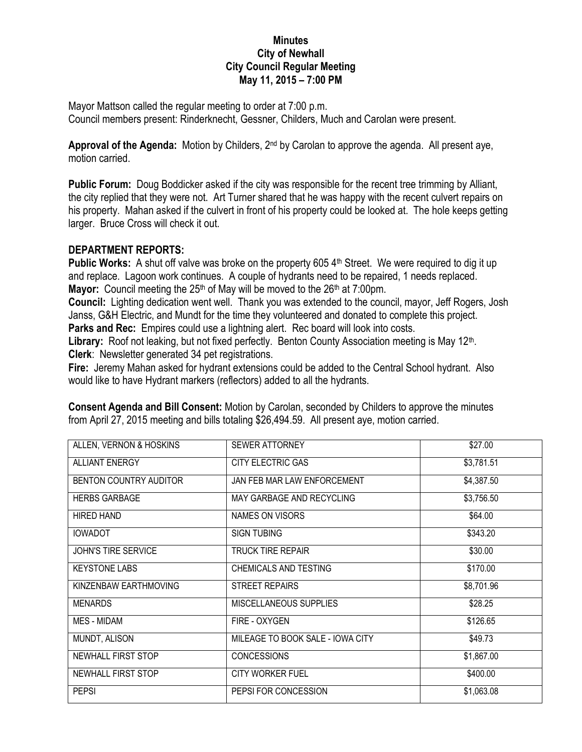## **Minutes City of Newhall City Council Regular Meeting May 11, 2015 – 7:00 PM**

Mayor Mattson called the regular meeting to order at 7:00 p.m. Council members present: Rinderknecht, Gessner, Childers, Much and Carolan were present.

**Approval of the Agenda:** Motion by Childers, 2nd by Carolan to approve the agenda. All present aye, motion carried.

**Public Forum:** Doug Boddicker asked if the city was responsible for the recent tree trimming by Alliant, the city replied that they were not. Art Turner shared that he was happy with the recent culvert repairs on his property. Mahan asked if the culvert in front of his property could be looked at. The hole keeps getting larger. Bruce Cross will check it out.

## **DEPARTMENT REPORTS:**

**Public Works:** A shut off valve was broke on the property 605 4<sup>th</sup> Street. We were required to dig it up and replace. Lagoon work continues. A couple of hydrants need to be repaired, 1 needs replaced. **Mayor:** Council meeting the 25<sup>th</sup> of May will be moved to the 26<sup>th</sup> at 7:00pm.

**Council:** Lighting dedication went well. Thank you was extended to the council, mayor, Jeff Rogers, Josh Janss, G&H Electric, and Mundt for the time they volunteered and donated to complete this project. **Parks and Rec:** Empires could use a lightning alert. Rec board will look into costs.

Library: Roof not leaking, but not fixed perfectly. Benton County Association meeting is May 12<sup>th</sup>. **Clerk**: Newsletter generated 34 pet registrations.

**Fire:** Jeremy Mahan asked for hydrant extensions could be added to the Central School hydrant. Also would like to have Hydrant markers (reflectors) added to all the hydrants.

| ALLEN, VERNON & HOSKINS    | <b>SEWER ATTORNEY</b>            | \$27.00    |
|----------------------------|----------------------------------|------------|
| <b>ALLIANT ENERGY</b>      | CITY ELECTRIC GAS                | \$3,781.51 |
| BENTON COUNTRY AUDITOR     | JAN FEB MAR LAW ENFORCEMENT      | \$4,387.50 |
| <b>HERBS GARBAGE</b>       | MAY GARBAGE AND RECYCLING        | \$3,756.50 |
| <b>HIRED HAND</b>          | NAMES ON VISORS                  | \$64.00    |
| <b>IOWADOT</b>             | <b>SIGN TUBING</b>               | \$343.20   |
| <b>JOHN'S TIRE SERVICE</b> | TRUCK TIRE REPAIR                | \$30.00    |
| <b>KEYSTONE LABS</b>       | <b>CHEMICALS AND TESTING</b>     | \$170.00   |
| KINZENBAW EARTHMOVING      | <b>STREET REPAIRS</b>            | \$8,701.96 |
| <b>MENARDS</b>             | <b>MISCELLANEOUS SUPPLIES</b>    | \$28.25    |
| MES - MIDAM                | FIRE - OXYGEN                    | \$126.65   |
| MUNDT, ALISON              | MILEAGE TO BOOK SALE - IOWA CITY | \$49.73    |
| NEWHALL FIRST STOP         | <b>CONCESSIONS</b>               | \$1,867.00 |
| NEWHALL FIRST STOP         | <b>CITY WORKER FUEL</b>          | \$400.00   |
| <b>PEPSI</b>               | PEPSI FOR CONCESSION             | \$1,063.08 |

**Consent Agenda and Bill Consent:** Motion by Carolan, seconded by Childers to approve the minutes from April 27, 2015 meeting and bills totaling \$26,494.59. All present aye, motion carried.